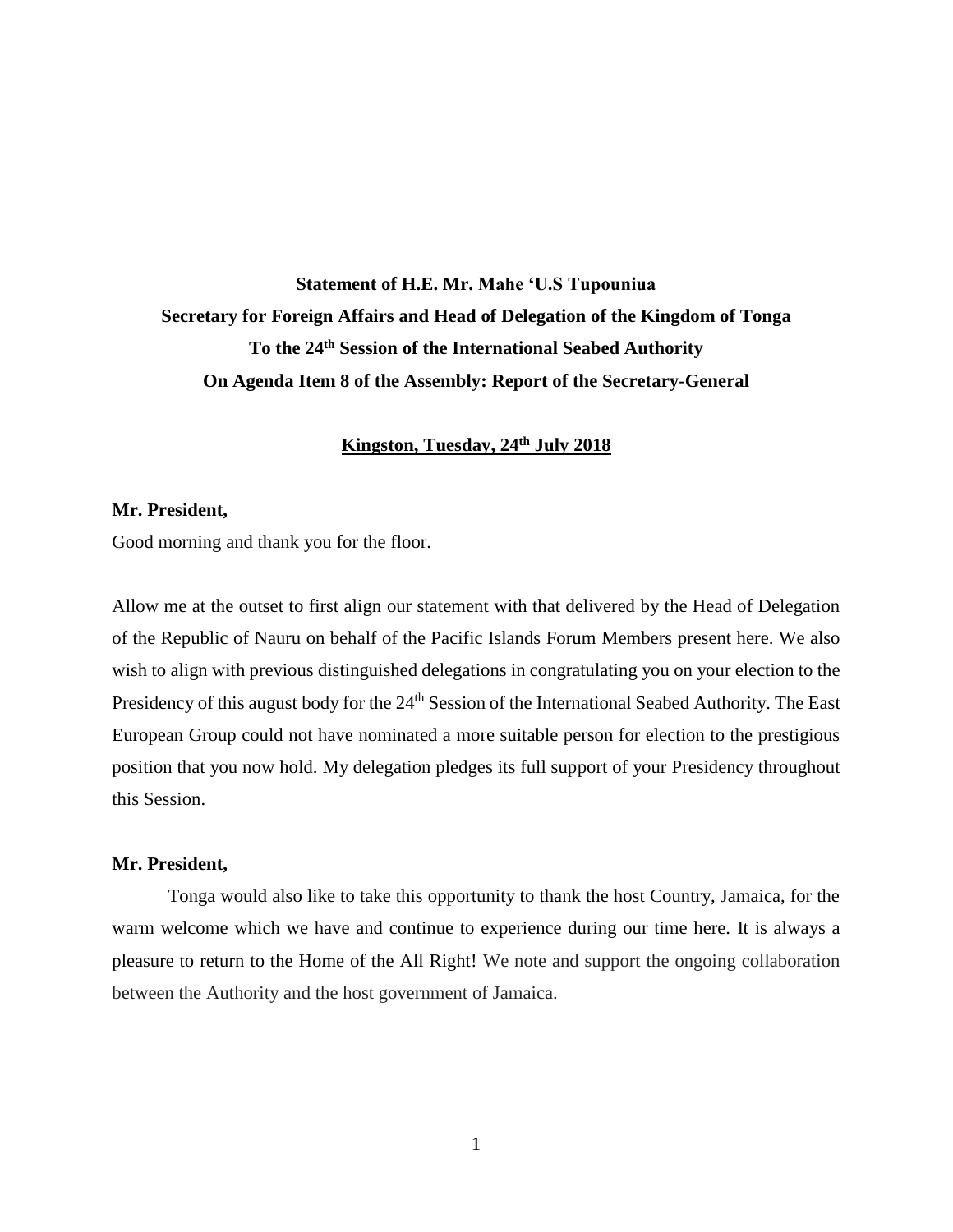**Statement of H.E. Mr. Mahe 'U.S Tupouniua Secretary for Foreign Affairs and Head of Delegation of the Kingdom of Tonga To the 24th Session of the International Seabed Authority On Agenda Item 8 of the Assembly: Report of the Secretary-General** 

# **Kingston, Tuesday, 24th July 2018**

#### **Mr. President,**

Good morning and thank you for the floor.

Allow me at the outset to first align our statement with that delivered by the Head of Delegation of the Republic of Nauru on behalf of the Pacific Islands Forum Members present here. We also wish to align with previous distinguished delegations in congratulating you on your election to the Presidency of this august body for the 24<sup>th</sup> Session of the International Seabed Authority. The East European Group could not have nominated a more suitable person for election to the prestigious position that you now hold. My delegation pledges its full support of your Presidency throughout this Session.

## **Mr. President,**

Tonga would also like to take this opportunity to thank the host Country, Jamaica, for the warm welcome which we have and continue to experience during our time here. It is always a pleasure to return to the Home of the All Right! We note and support the ongoing collaboration between the Authority and the host government of Jamaica.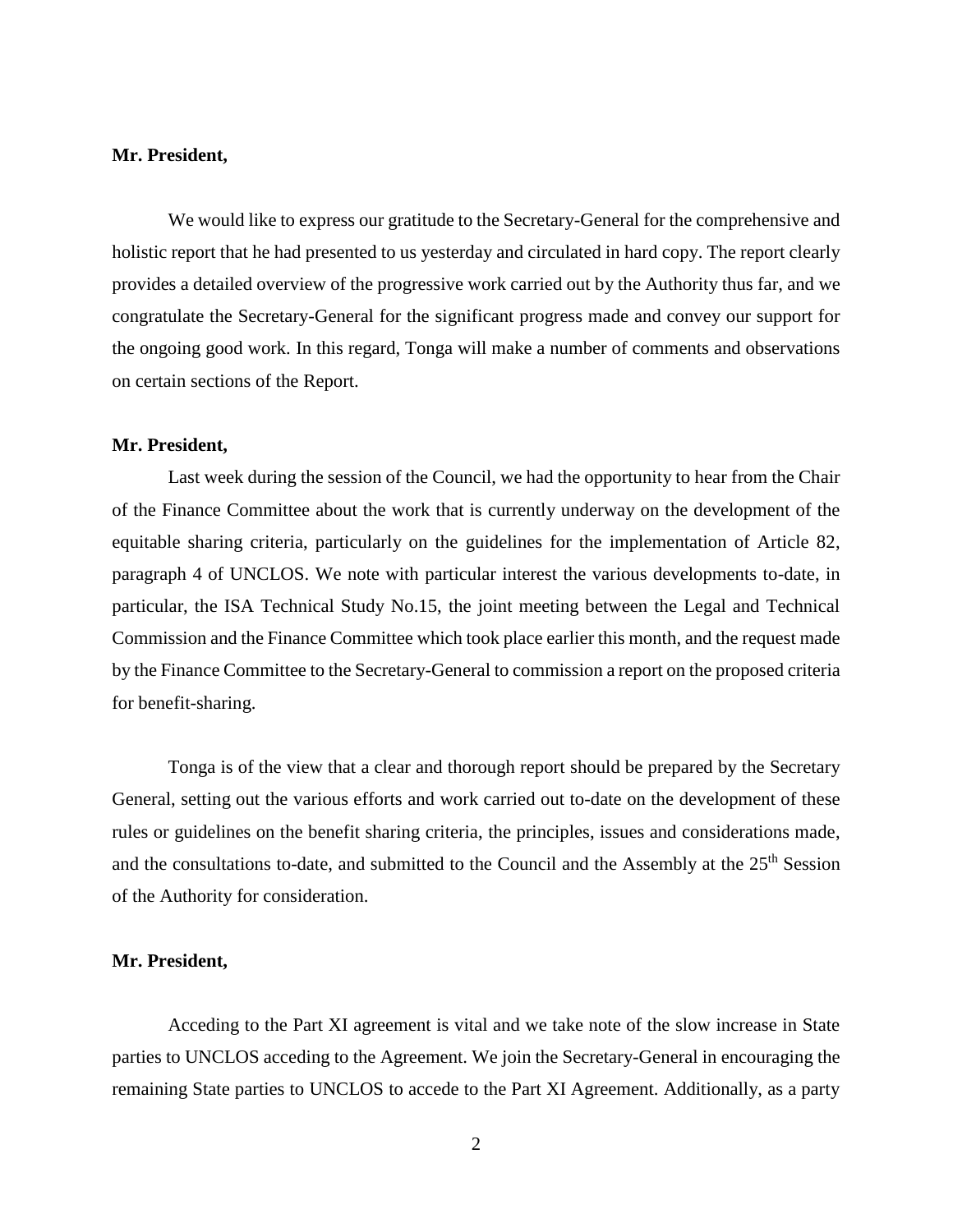## **Mr. President,**

We would like to express our gratitude to the Secretary-General for the comprehensive and holistic report that he had presented to us yesterday and circulated in hard copy. The report clearly provides a detailed overview of the progressive work carried out by the Authority thus far, and we congratulate the Secretary-General for the significant progress made and convey our support for the ongoing good work. In this regard, Tonga will make a number of comments and observations on certain sections of the Report.

### **Mr. President,**

Last week during the session of the Council, we had the opportunity to hear from the Chair of the Finance Committee about the work that is currently underway on the development of the equitable sharing criteria, particularly on the guidelines for the implementation of Article 82, paragraph 4 of UNCLOS. We note with particular interest the various developments to-date, in particular, the ISA Technical Study No.15, the joint meeting between the Legal and Technical Commission and the Finance Committee which took place earlier this month, and the request made by the Finance Committee to the Secretary-General to commission a report on the proposed criteria for benefit-sharing.

Tonga is of the view that a clear and thorough report should be prepared by the Secretary General, setting out the various efforts and work carried out to-date on the development of these rules or guidelines on the benefit sharing criteria, the principles, issues and considerations made, and the consultations to-date, and submitted to the Council and the Assembly at the  $25<sup>th</sup>$  Session of the Authority for consideration.

## **Mr. President,**

Acceding to the Part XI agreement is vital and we take note of the slow increase in State parties to UNCLOS acceding to the Agreement. We join the Secretary-General in encouraging the remaining State parties to UNCLOS to accede to the Part XI Agreement. Additionally, as a party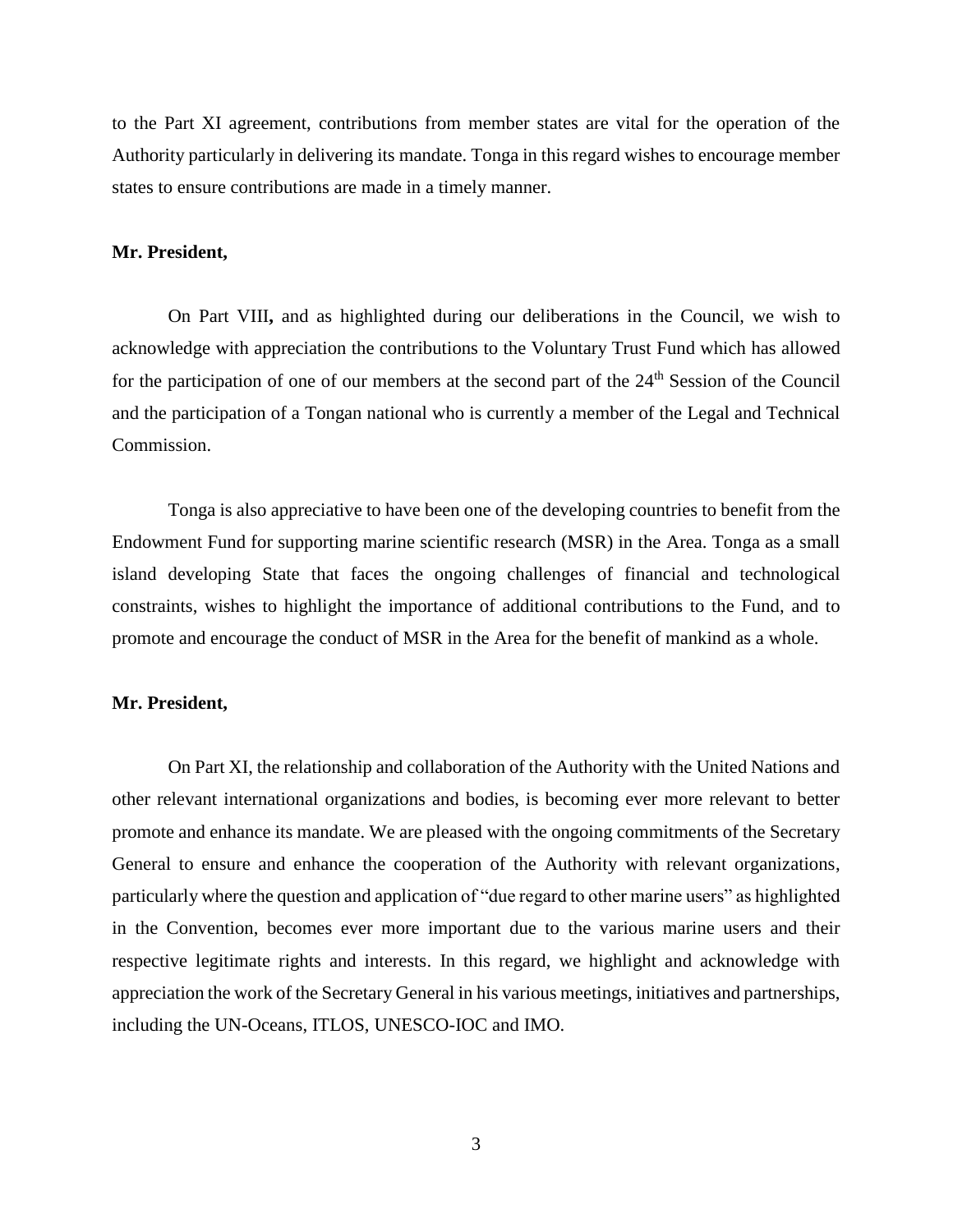to the Part XI agreement, contributions from member states are vital for the operation of the Authority particularly in delivering its mandate. Tonga in this regard wishes to encourage member states to ensure contributions are made in a timely manner.

#### **Mr. President,**

On Part VIII**,** and as highlighted during our deliberations in the Council, we wish to acknowledge with appreciation the contributions to the Voluntary Trust Fund which has allowed for the participation of one of our members at the second part of the 24<sup>th</sup> Session of the Council and the participation of a Tongan national who is currently a member of the Legal and Technical Commission.

Tonga is also appreciative to have been one of the developing countries to benefit from the Endowment Fund for supporting marine scientific research (MSR) in the Area. Tonga as a small island developing State that faces the ongoing challenges of financial and technological constraints, wishes to highlight the importance of additional contributions to the Fund, and to promote and encourage the conduct of MSR in the Area for the benefit of mankind as a whole.

#### **Mr. President,**

On Part XI, the relationship and collaboration of the Authority with the United Nations and other relevant international organizations and bodies, is becoming ever more relevant to better promote and enhance its mandate. We are pleased with the ongoing commitments of the Secretary General to ensure and enhance the cooperation of the Authority with relevant organizations, particularly where the question and application of "due regard to other marine users" as highlighted in the Convention, becomes ever more important due to the various marine users and their respective legitimate rights and interests. In this regard, we highlight and acknowledge with appreciation the work of the Secretary General in his various meetings, initiatives and partnerships, including the UN-Oceans, ITLOS, UNESCO-IOC and IMO.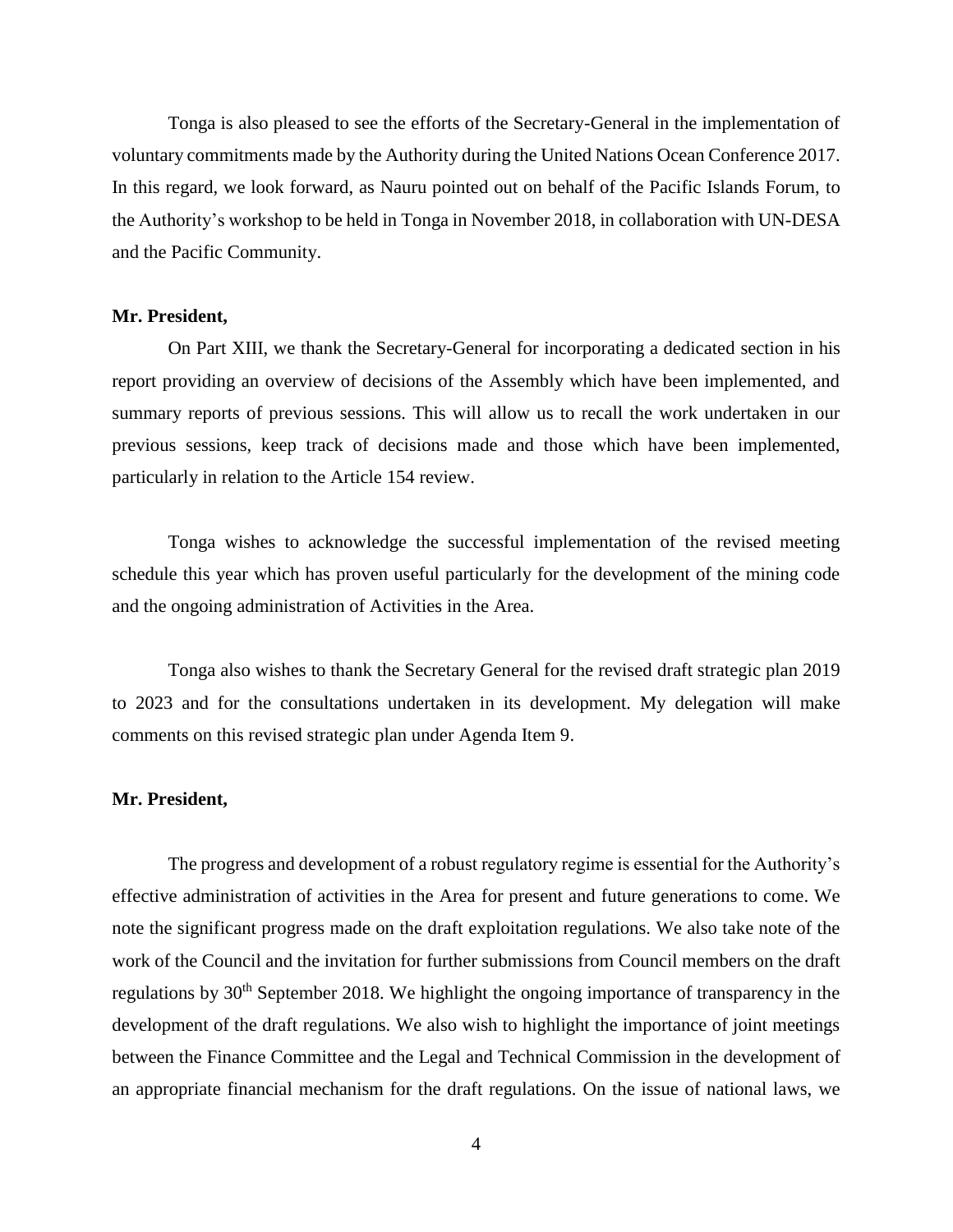Tonga is also pleased to see the efforts of the Secretary-General in the implementation of voluntary commitments made by the Authority during the United Nations Ocean Conference 2017. In this regard, we look forward, as Nauru pointed out on behalf of the Pacific Islands Forum, to the Authority's workshop to be held in Tonga in November 2018, in collaboration with UN-DESA and the Pacific Community.

## **Mr. President,**

On Part XIII, we thank the Secretary-General for incorporating a dedicated section in his report providing an overview of decisions of the Assembly which have been implemented, and summary reports of previous sessions. This will allow us to recall the work undertaken in our previous sessions, keep track of decisions made and those which have been implemented, particularly in relation to the Article 154 review.

Tonga wishes to acknowledge the successful implementation of the revised meeting schedule this year which has proven useful particularly for the development of the mining code and the ongoing administration of Activities in the Area.

Tonga also wishes to thank the Secretary General for the revised draft strategic plan 2019 to 2023 and for the consultations undertaken in its development. My delegation will make comments on this revised strategic plan under Agenda Item 9.

#### **Mr. President,**

The progress and development of a robust regulatory regime is essential for the Authority's effective administration of activities in the Area for present and future generations to come. We note the significant progress made on the draft exploitation regulations. We also take note of the work of the Council and the invitation for further submissions from Council members on the draft regulations by 30<sup>th</sup> September 2018. We highlight the ongoing importance of transparency in the development of the draft regulations. We also wish to highlight the importance of joint meetings between the Finance Committee and the Legal and Technical Commission in the development of an appropriate financial mechanism for the draft regulations. On the issue of national laws, we